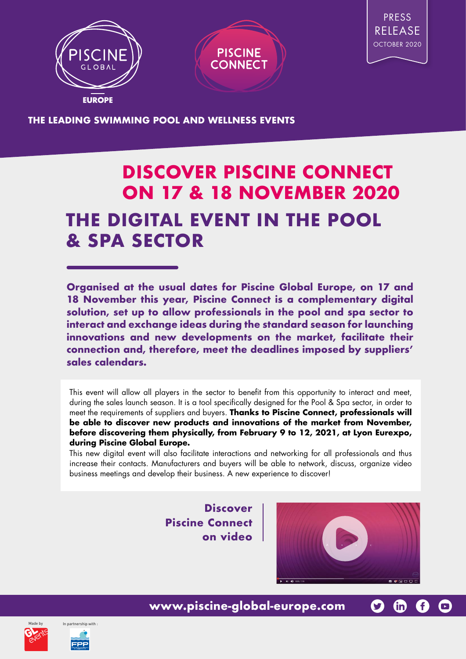





**THE LEADING SWIMMING POOL AND WELLNESS EVENTS**

## **DISCOVER PISCINE CONNECT ON 17 & 18 NOVEMBER 2020 THE DIGITAL EVENT IN THE POOL & SPA SECTOR**

**Organised at the usual dates for Piscine Global Europe, on 17 and 18 November this year, Piscine Connect is a complementary digital solution, set up to allow professionals in the pool and spa sector to interact and exchange ideas during the standard season for launching innovations and new developments on the market, facilitate their connection and, therefore, meet the deadlines imposed by suppliers' sales calendars.**

This event will allow all players in the sector to benefit from this opportunity to interact and meet, during the sales launch season. It is a tool specifically designed for the Pool & Spa sector, in order to meet the requirements of suppliers and buyers. **Thanks to Piscine Connect, professionals will be able to discover new products and innovations of the market from November, before discovering them physically, from February 9 to 12, 2021, at Lyon Eurexpo, during Piscine Global Europe.**

This new digital event will also facilitate interactions and networking for all professionals and thus increase their contacts. Manufacturers and buyers will be able to network, discuss, organize video business meetings and develop their business. A new experience to discover!

> **Discover Piscine Connect on video**



**G** 

G

G

 $\bigodot$ 





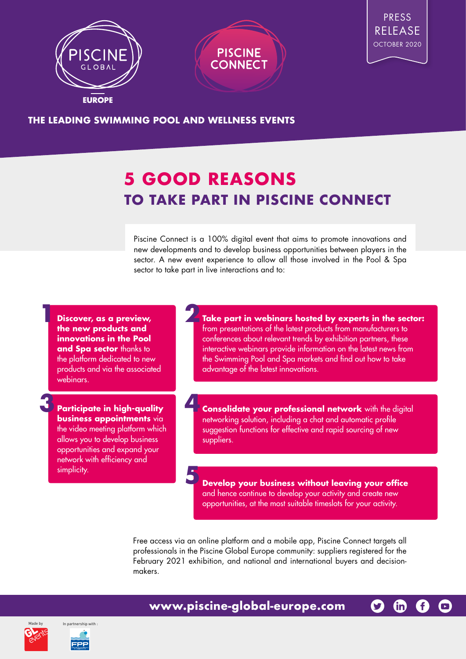





**THE LEADING SWIMMING POOL AND WELLNESS EVENTS**

## **5 GOOD REASONS TO TAKE PART IN PISCINE CONNECT**

Piscine Connect is a 100% digital event that aims to promote innovations and new developments and to develop business opportunities between players in the sector. A new event experience to allow all those involved in the Pool & Spa sector to take part in live interactions and to:

**Discover, as a preview, the new products and innovations in the Pool and Spa sector** thanks to the platform dedicated to new products and via the associated webinars.

**1**

**Participate in high-quality business appointments** via the video meeting platform which allows you to develop business opportunities and expand your network with efficiency and simplicity. **3**

**Take part in webinars hosted by experts in the sector:**  from presentations of the latest products from manufacturers to conferences about relevant trends by exhibition partners, these interactive webinars provide information on the latest news from the Swimming Pool and Spa markets and find out how to take advantage of the latest innovations. **2**

**Consolidate your professional network** with the digital networking solution, including a chat and automatic profile suggestion functions for effective and rapid sourcing of new suppliers. **4**

**Develop your business without leaving your office**  and hence continue to develop your activity and create new opportunities, at the most suitable timeslots for your activity.

G

**GD** 

G

 $\bigodot$ 

Free access via an online platform and a mobile app, Piscine Connect targets all professionals in the Piscine Global Europe community: suppliers registered for the February 2021 exhibition, and national and international buyers and decisionmakers.

**www.piscine-global-europe.com**





**5**